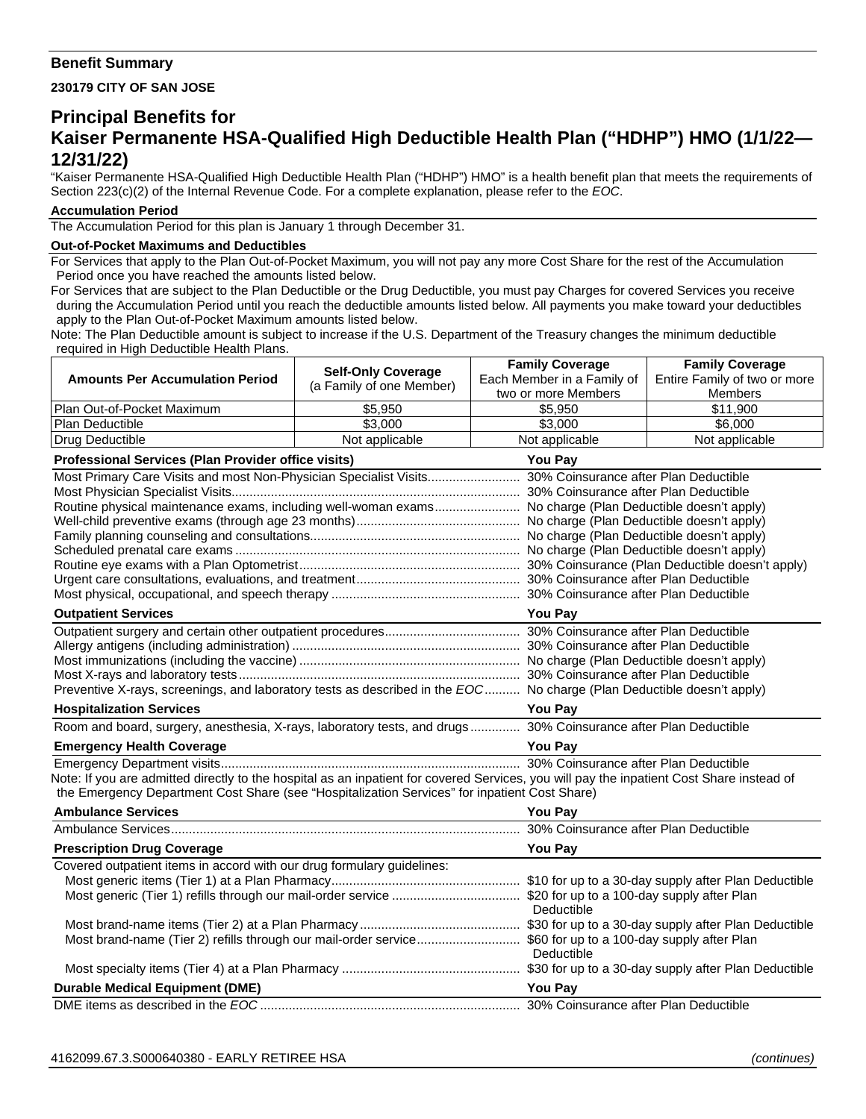## **Benefit Summary**

**230179 CITY OF SAN JOSE** 

## **Principal Benefits for Kaiser Permanente HSA-Qualified High Deductible Health Plan ("HDHP") HMO (1/1/22— 12/31/22)**

"Kaiser Permanente HSA-Qualified High Deductible Health Plan ("HDHP") HMO" is a health benefit plan that meets the requirements of Section 223(c)(2) of the Internal Revenue Code. For a complete explanation, please refer to the *EOC*.

## **Accumulation Period**

The Accumulation Period for this plan is January 1 through December 31.

## **Out-of-Pocket Maximums and Deductibles**

For Services that apply to the Plan Out-of-Pocket Maximum, you will not pay any more Cost Share for the rest of the Accumulation Period once you have reached the amounts listed below.

For Services that are subject to the Plan Deductible or the Drug Deductible, you must pay Charges for covered Services you receive during the Accumulation Period until you reach the deductible amounts listed below. All payments you make toward your deductibles apply to the Plan Out-of-Pocket Maximum amounts listed below.

**Family Coverage**

Note: The Plan Deductible amount is subject to increase if the U.S. Department of the Treasury changes the minimum deductible required in High Deductible Health Plans. **Family Coverage**

|                                                                                                                                                                                                                                            | <b>Self-Only Coverage</b>                                                                                             | <b>COUNTY OUTSING</b>          | <b>Hamily Ovverage</b>       |  |
|--------------------------------------------------------------------------------------------------------------------------------------------------------------------------------------------------------------------------------------------|-----------------------------------------------------------------------------------------------------------------------|--------------------------------|------------------------------|--|
| <b>Amounts Per Accumulation Period</b>                                                                                                                                                                                                     | (a Family of one Member)                                                                                              | Each Member in a Family of     | Entire Family of two or more |  |
| Plan Out-of-Pocket Maximum                                                                                                                                                                                                                 | \$5,950                                                                                                               | two or more Members<br>\$5,950 | Members<br>\$11,900          |  |
| Plan Deductible                                                                                                                                                                                                                            | \$3,000                                                                                                               | \$3,000                        | \$6,000                      |  |
| Drug Deductible                                                                                                                                                                                                                            | Not applicable                                                                                                        | Not applicable                 | Not applicable               |  |
|                                                                                                                                                                                                                                            |                                                                                                                       |                                |                              |  |
| Professional Services (Plan Provider office visits)                                                                                                                                                                                        |                                                                                                                       | You Pay                        |                              |  |
| Routine physical maintenance exams, including well-woman exams No charge (Plan Deductible doesn't apply)                                                                                                                                   |                                                                                                                       |                                |                              |  |
| <b>Outpatient Services</b>                                                                                                                                                                                                                 |                                                                                                                       | <b>You Pay</b>                 |                              |  |
| Preventive X-rays, screenings, and laboratory tests as described in the EOC No charge (Plan Deductible doesn't apply)                                                                                                                      |                                                                                                                       |                                |                              |  |
| <b>Hospitalization Services</b>                                                                                                                                                                                                            |                                                                                                                       | <b>You Pay</b>                 |                              |  |
| Room and board, surgery, anesthesia, X-rays, laboratory tests, and drugs 30% Coinsurance after Plan Deductible                                                                                                                             |                                                                                                                       |                                |                              |  |
| <b>Emergency Health Coverage</b>                                                                                                                                                                                                           | <u> 1989 - Johann Barn, mars ann an t-Amhain Aonaichte ann an t-Amhain Aonaichte ann an t-Amhain Aonaichte ann an</u> | You Pay                        |                              |  |
| Note: If you are admitted directly to the hospital as an inpatient for covered Services, you will pay the inpatient Cost Share instead of<br>the Emergency Department Cost Share (see "Hospitalization Services" for inpatient Cost Share) |                                                                                                                       |                                |                              |  |
| <b>Ambulance Services</b>                                                                                                                                                                                                                  |                                                                                                                       | <b>You Pay</b>                 |                              |  |
|                                                                                                                                                                                                                                            |                                                                                                                       |                                |                              |  |
| <b>Prescription Drug Coverage</b>                                                                                                                                                                                                          |                                                                                                                       | <b>You Pay</b>                 |                              |  |
| Covered outpatient items in accord with our drug formulary guidelines:                                                                                                                                                                     |                                                                                                                       | Deductible                     |                              |  |
| Most brand-name (Tier 2) refills through our mail-order service\$60 for up to a 100-day supply after Plan                                                                                                                                  |                                                                                                                       | Deductible                     |                              |  |
|                                                                                                                                                                                                                                            |                                                                                                                       |                                |                              |  |
| <b>Durable Medical Equipment (DME)</b>                                                                                                                                                                                                     |                                                                                                                       | <b>You Pay</b>                 |                              |  |
|                                                                                                                                                                                                                                            |                                                                                                                       |                                |                              |  |